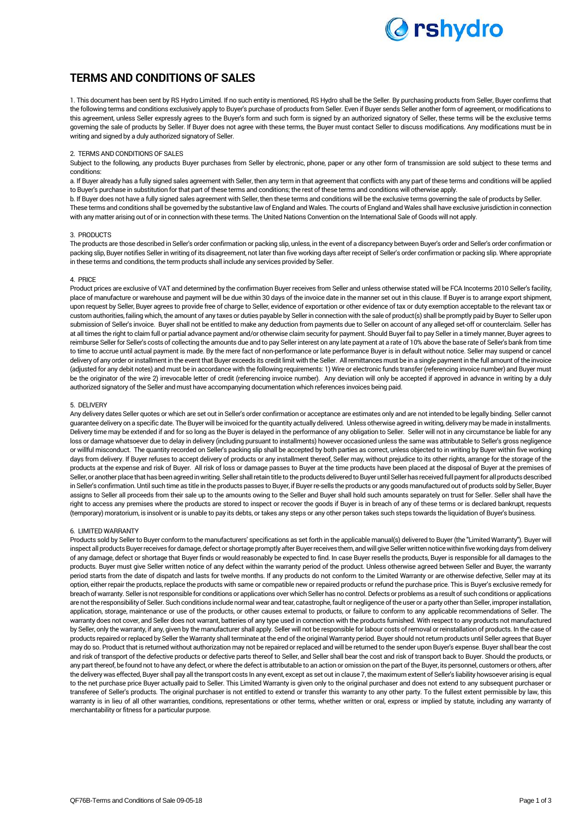

# **TERMS AND CONDITIONS OF SALES**

1. This document has been sent by RS Hydro Limited. If no such entity is mentioned, RS Hydro shall be the Seller. By purchasing products from Seller, Buyer confirms that the following terms and conditions exclusively apply to Buyer's purchase of products from Seller. Even if Buyer sends Seller another form of agreement, or modifications to this agreement, unless Seller expressly agrees to the Buyer's form and such form is signed by an authorized signatory of Seller, these terms will be the exclusive terms governing the sale of products by Seller. If Buyer does not agree with these terms, the Buyer must contact Seller to discuss modifications. Any modifications must be in writing and signed by a duly authorized signatory of Seller.

# 2. TERMS AND CONDITIONS OF SALES

Subject to the following, any products Buyer purchases from Seller by electronic, phone, paper or any other form of transmission are sold subject to these terms and conditions:

a. If Buyer already has a fully signed sales agreement with Seller, then any term in that agreement that conflicts with any part of these terms and conditions will be applied to Buyer's purchase in substitution for that part of these terms and conditions; the rest of these terms and conditions will otherwise apply.

b. If Buyer does not have a fully signed sales agreement with Seller, then these terms and conditions will be the exclusive terms governing the sale of products by Seller.

These terms and conditions shall be governed by the substantive law of England and Wales. The courts of England and Wales shall have exclusive jurisdiction in connection with any matter arising out of or in connection with these terms. The United Nations Convention on the International Sale of Goods will not apply.

#### 3. PRODUCTS

The products are those described in Seller's order confirmation or packing slip, unless, in the event of a discrepancy between Buyer's order and Seller's order confirmation or packing slip, Buyer notifies Seller in writing of its disagreement, not later than five working days after receipt of Seller's order confirmation or packing slip. Where appropriate in these terms and conditions, the term products shall include any services provided by Seller.

# 4. PRICE

Product prices are exclusive of VAT and determined by the confirmation Buyer receives from Seller and unless otherwise stated will be FCA Incoterms 2010 Seller's facility, place of manufacture or warehouse and payment will be due within 30 days of the invoice date in the manner set out in this clause. If Buyer is to arrange export shipment, upon request by Seller, Buyer agrees to provide free of charge to Seller, evidence of exportation or other evidence of tax or duty exemption acceptable to the relevant tax or custom authorities, failing which, the amount of any taxes or duties payable by Seller in connection with the sale of product(s) shall be promptly paid by Buyer to Seller upon submission of Seller's invoice. Buyer shall not be entitled to make any deduction from payments due to Seller on account of any alleged set-off or counterclaim. Seller has at all times the right to claim full or partial advance payment and/or otherwise claim security for payment. Should Buyer fail to pay Seller in a timely manner, Buyer agrees to reimburse Seller for Seller's costs of collecting the amounts due and to pay Seller interest on any late payment at a rate of 10% above the base rate of Seller's bank from time to time to accrue until actual payment is made. By the mere fact of non-performance or late performance Buyer is in default without notice. Seller may suspend or cancel delivery of any order or installment in the event that Buyer exceeds its credit limit with the Seller. Allremittances must be in a single payment in the full amount of the invoice (adjusted for any debit notes) and must be in accordance with the following requirements: 1) Wire or electronic funds transfer (referencing invoice number) and Buyer must be the originator of the wire 2) irrevocable letter of credit (referencing invoice number). Any deviation will only be accepted if approved in advance in writing by a duly authorized signatory of the Seller and must have accompanying documentation which references invoices being paid.

#### 5. DELIVERY

Any delivery dates Seller quotes or which are set out in Seller's order confirmation or acceptance are estimates only and are not intended to be legally binding. Seller cannot guarantee delivery on a specific date. The Buyer will be invoiced for the quantity actually delivered. Unless otherwise agreed in writing, delivery may be made in installments. Delivery time may be extended if and for so long as the Buyer is delayed in the performance of any obligation to Seller. Seller will not in any circumstance be liable for any loss or damage whatsoever due to delay in delivery (including pursuant to installments) however occasioned unless the same was attributable to Seller's gross negligence or willful misconduct. The quantity recorded on Seller's packing slip shall be accepted by both parties as correct, unless objected to in writing by Buyer within five working days from delivery. If Buyer refuses to accept delivery of products or any installment thereof, Seller may, without prejudice to its other rights, arrange for the storage of the products at the expense and risk of Buyer. All risk of loss or damage passes to Buyer at the time products have been placed at the disposal of Buyer at the premises of Seller, or another place that has been agreed in writing. Seller shall retain title to the products delivered to Buyer until Seller has received full payment for all products described in Seller's confirmation. Until such time as title in the products passes to Buyer, if Buyer re-sells the products or any goods manufactured out of products sold by Seller, Buyer assigns to Seller all proceeds from their sale up to the amounts owing to the Seller and Buyer shall hold such amounts separately on trust for Seller. Seller shall have the right to access any premises where the products are stored to inspect or recover the goods if Buyer is in breach of any of these terms or is declared bankrupt, requests (temporary) moratorium, is insolvent or is unable to pay its debts, or takes any steps or any other person takes such steps towards the liquidation of Buyer's business.

#### 6. LIMITED WARRANTY

Products sold by Seller to Buyer conform to the manufacturers' specifications as set forth in the applicable manual(s) delivered to Buyer (the "Limited Warranty"). Buyer will inspect all products Buyer receives for damage, defect or shortage promptly after Buyer receives them, and will give Seller written notice within five working days from delivery of any damage, defect or shortage that Buyer finds or would reasonably be expected to find. In case Buyer resells the products, Buyer is responsible for all damages to the products. Buyer must give Seller written notice of any defect within the warranty period of the product. Unless otherwise agreed between Seller and Buyer, the warranty period starts from the date of dispatch and lasts for twelve months. If any products do not conform to the Limited Warranty or are otherwise defective, Seller may at its option, either repair the products, replace the products with same or compatible new or repaired products or refund the purchase price. This is Buyer's exclusive remedy for breach of warranty. Seller is not responsible for conditions or applications over which Seller has no control. Defects or problems as a result of such conditions or applications are not the responsibility of Seller. Such conditions include normal wear and tear, catastrophe, fault or negligence of the user or a party other than Seller, improper installation, application, storage, maintenance or use of the products, or other causes external to products, or failure to conform to any applicable recommendations of Seller. The warranty does not cover, and Seller does not warrant, batteries of any type used in connection with the products furnished. With respect to any products not manufactured by Seller, only the warranty, if any, given by the manufacturer shall apply. Seller will not be responsible for labour costs of removal or reinstallation of products. In the case of products repaired or replaced by Seller the Warranty shall terminate at the end of the original Warranty period. Buyer should not return products until Seller agrees that Buyer may do so. Product that is returned without authorization may not be repaired or replaced and will be returned to the sender upon Buyer's expense. Buyer shall bear the cost and risk of transport of the defective products or defective parts thereof to Seller, and Seller shall bear the cost and risk of transport back to Buyer. Should the products, or any part thereof, be found not to have any defect, or where the defect is attributable to an action or omission on the part of the Buyer, its personnel, customers or others, after the delivery was effected, Buyer shall pay all the transport costs In any event, except as set out in clause 7, the maximum extent of Seller's liability howsoever arising is equal to the net purchase price Buyer actually paid to Seller. This Limited Warranty is given only to the original purchaser and does not extend to any subsequent purchaser or transferee of Seller's products. The original purchaser is not entitled to extend or transfer this warranty to any other party. To the fullest extent permissible by law, this warranty is in lieu of all other warranties, conditions, representations or other terms, whether written or oral, express or implied by statute, including any warranty of merchantability or fitness for a particular purpose.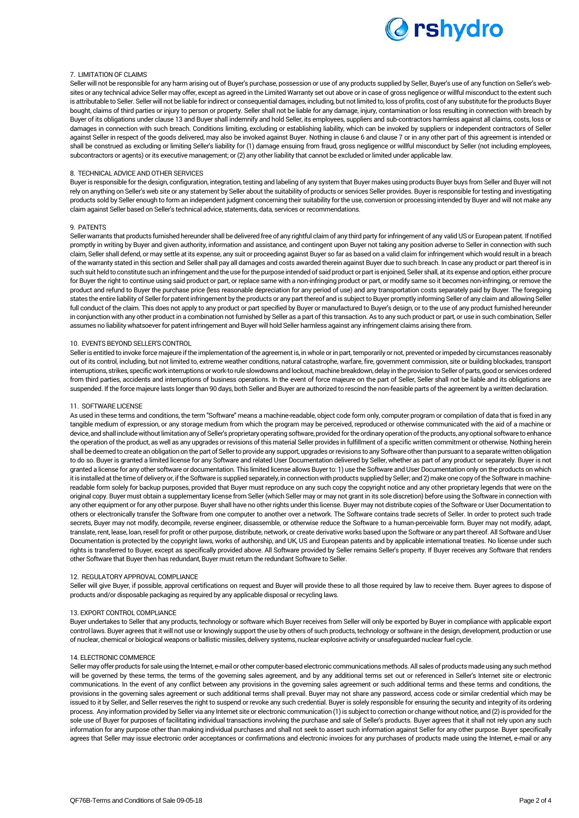

# 7. LIMITATION OF CLAIMS

Seller will not be responsible for any harm arising out of Buyer's purchase, possession or use of any products supplied by Seller, Buyer's use of any function on Seller's websites or any technical advice Seller may offer, except as agreed in the Limited Warranty set out above or in case of gross negligence or willful misconduct to the extent such is attributable to Seller. Seller will not be liable for indirect or consequential damages, including, but not limited to, loss of profits, cost of any substitute for the products Buyer bought, claims of third parties or injury to person or property. Seller shall not be liable for any damage, injury, contamination or loss resulting in connection with breach by Buyer of its obligations under clause 13 and Buyer shall indemnify and hold Seller, its employees, suppliers and sub-contractors harmless against all claims, costs, loss or damages in connection with such breach. Conditions limiting, excluding or establishing liability, which can be invoked by suppliers or independent contractors of Seller against Seller in respect of the goods delivered, may also be invoked against Buyer. Nothing in clause 6 and clause 7 or in any other part of this agreement is intended or shall be construed as excluding or limiting Seller's liability for (1) damage ensuing from fraud, gross negligence or willful misconduct by Seller (not including employees, subcontractors or agents) or its executive management; or (2) any other liability that cannot be excluded or limited under applicable law.

# 8. TECHNICAL ADVICE AND OTHER SERVICES

Buyer is responsible for the design, configuration, integration, testing and labeling of any system that Buyer makes using products Buyer buys from Seller and Buyer will not rely on anything on Seller's web site or any statement by Seller about the suitability of products or services Seller provides. Buyer is responsible for testing and investigating products sold by Seller enough to form an independent judgment concerning their suitability for the use, conversion or processing intended by Buyer and will not make any claim against Seller based on Seller's technical advice, statements, data, services or recommendations.

#### 9. PATENTS

Seller warrants that products furnished hereunder shall be delivered free of any rightful claim of any third party for infringement of any valid US or European patent. If notified promptly in writing by Buyer and given authority, information and assistance, and contingent upon Buyer not taking any position adverse to Seller in connection with such claim, Seller shall defend, or may settle at its expense, any suit or proceeding against Buyer so far as based on a valid claim for infringement which would result in a breach of the warranty stated in this section and Seller shall pay all damages and costs awarded therein against Buyer due to such breach. In case any product or part thereof is in such suit held to constitute such an infringement and the use for the purpose intended of said product or part is enjoined, Seller shall, at its expense and option, either procure for Buyer the right to continue using said product or part, or replace same with a non-infringing product or part, or modify same so it becomes non-infringing, or remove the product and refund to Buyer the purchase price (less reasonable depreciation for any period of use) and any transportation costs separately paid by Buyer. The foregoing states the entire liability of Seller for patent infringement by the products or any part thereof and is subject to Buyer promptly informing Seller of any claim and allowing Seller full conduct of the claim. This does not apply to any product or part specified by Buyer or manufactured to Buyer's design, or to the use of any product furnished hereunder in conjunction with any other product in a combination not furnished by Seller as a part of this transaction. As to any such product or part, or use in such combination, Seller assumes no liability whatsoever for patent infringement and Buyer will hold Seller harmless against any infringement claims arising there from.

# 10. EVENTS BEYOND SELLER'S CONTROL

Seller is entitled to invoke force majeure if the implementation of the agreement is, in whole or in part, temporarily or not, prevented or impeded by circumstances reasonably out of its control, including, but not limited to, extreme weather conditions, natural catastrophe, warfare, fire, government commission, site or building blockades, transport interruptions, strikes, specific work interruptions or work-to rule slowdowns and lockout, machine breakdown, delay in the provision to Seller of parts, good or services ordered from third parties, accidents and interruptions of business operations. In the event of force majeure on the part of Seller, Seller shall not be liable and its obligations are suspended. If the force majeure lasts longer than 90 days, both Seller and Buyer are authorized to rescind the non-feasible parts of the agreement by a written declaration.

#### 11. SOFTWARE LICENSE

As used in these terms and conditions, the term "Software" means a machine-readable, object code form only, computer program or compilation of data that is fixed in any tangible medium of expression, or any storage medium from which the program may be perceived, reproduced or otherwise communicated with the aid of a machine or device, and shall include without limitation any of Seller's proprietary operating software, provided for the ordinary operation of the products, any optional software to enhance the operation of the product, as well as any upgrades or revisions of this material Seller provides in fulfillment of a specific written commitment or otherwise. Nothing herein shall be deemed to create an obligation on the part of Seller to provide any support, upgrades or revisions to any Software other than pursuant to a separate written obligation to do so. Buyer is granted a limited license for any Software and related User Documentation delivered by Seller, whether as part of any product or separately. Buyer is not granted a license for any other software or documentation. This limited license allows Buyer to: 1) use the Software and User Documentation only on the products on which it is installed at the time of delivery or, if the Software is supplied separately, in connection with products supplied by Seller; and 2) make one copy of the Software in machinereadable form solely for backup purposes, provided that Buyer must reproduce on any such copy the copyright notice and any other proprietary legends that were on the original copy. Buyer must obtain a supplementary license from Seller (which Seller may or may not grant in its sole discretion) before using the Software in connection with any other equipment or for any other purpose. Buyer shall have no other rights under this license. Buyer may not distribute copies of the Software or User Documentation to others or electronically transfer the Software from one computer to another over a network. The Software contains trade secrets of Seller. In order to protect such trade secrets, Buyer may not modify, decompile, reverse engineer, disassemble, or otherwise reduce the Software to a human-perceivable form. Buyer may not modify, adapt, translate, rent, lease, loan, resell for profit or other purpose, distribute, network, or create derivative works based upon the Software or any part thereof. All Software and User Documentation is protected by the copyright laws, works of authorship, and UK, US and European patents and by applicable international treaties. No license under such rights is transferred to Buyer, except as specifically provided above. All Software provided by Seller remains Seller's property. If Buyer receives any Software that renders other Software that Buyer then has redundant, Buyer must return the redundant Software to Seller.

#### 12. REGULATORY APPROVAL COMPLIANCE

Seller will give Buyer, if possible, approval certifications on request and Buyer will provide these to all those required by law to receive them. Buyer agrees to dispose of products and/or disposable packaging as required by any applicable disposal or recycling laws.

#### 13. EXPORT CONTROL COMPLIANCE

Buyer undertakes to Seller that any products, technology or software which Buyer receives from Seller will only be exported by Buyer in compliance with applicable export control laws. Buyer agrees that it will not use or knowingly support the use by others of such products, technology or software in the design, development, production or use of nuclear, chemical or biological weapons or ballistic missiles, delivery systems, nuclear explosive activity or unsafeguarded nuclear fuel cycle.

#### 14. ELECTRONIC COMMERCE

Seller may offer products for sale using the Internet, e-mail or other computer-based electronic communications methods. All sales of products made using any such method will be governed by these terms, the terms of the governing sales agreement, and by any additional terms set out or referenced in Seller's Internet site or electronic communications. In the event of any conflict between any provisions in the governing sales agreement or such additional terms and these terms and conditions, the provisions in the governing sales agreement or such additional terms shall prevail. Buyer may not share any password, access code or similar credential which may be issued to it by Seller, and Seller reserves the right to suspend or revoke any such credential. Buyer is solely responsible for ensuring the security and integrity of its ordering process. Any information provided by Seller via any Internet site or electronic communication (1) is subject to correction or change without notice, and (2) is provided for the sole use of Buyer for purposes of facilitating individual transactions involving the purchase and sale of Seller's products. Buyer agrees that it shall not rely upon any such information for any purpose other than making individual purchases and shall not seek to assert such information against Seller for any other purpose. Buyer specifically agrees that Seller may issue electronic order acceptances or confirmations and electronic invoices for any purchases of products made using the Internet, e-mail or any